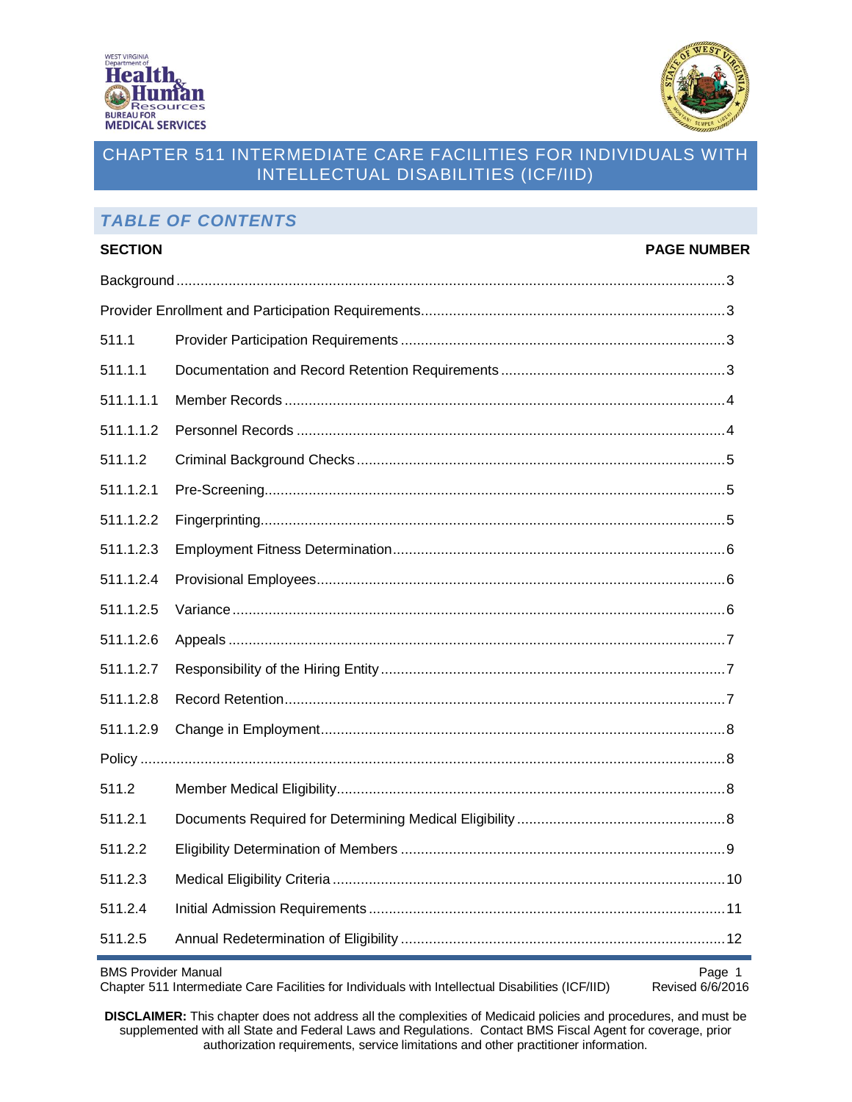



# *TABLE OF CONTENTS*

| <b>SECTION</b>                            |  | <b>PAGE NUMBER</b> |  |  |
|-------------------------------------------|--|--------------------|--|--|
|                                           |  |                    |  |  |
|                                           |  |                    |  |  |
| 511.1                                     |  |                    |  |  |
| 511.1.1                                   |  |                    |  |  |
| 511.1.1.1                                 |  |                    |  |  |
| 511.1.1.2                                 |  |                    |  |  |
| 511.1.2                                   |  |                    |  |  |
| 511.1.2.1                                 |  |                    |  |  |
| 511.1.2.2                                 |  |                    |  |  |
| 511.1.2.3                                 |  |                    |  |  |
| 511.1.2.4                                 |  |                    |  |  |
| 511.1.2.5                                 |  |                    |  |  |
| 511.1.2.6                                 |  |                    |  |  |
| 511.1.2.7                                 |  |                    |  |  |
| 511.1.2.8                                 |  |                    |  |  |
| 511.1.2.9                                 |  |                    |  |  |
|                                           |  |                    |  |  |
| 511.2                                     |  |                    |  |  |
| 511.2.1                                   |  |                    |  |  |
| 511.2.2                                   |  |                    |  |  |
| 511.2.3                                   |  |                    |  |  |
| 511.2.4                                   |  |                    |  |  |
| 511.2.5                                   |  |                    |  |  |
| <b>RMS</b> Provider Manual<br>$D_{200}$ 1 |  |                    |  |  |

BMS Provider Manual<br>Chapter 511 Intermediate Care Facilities for Individuals with Intellectual Disabilities (ICF/IID) Revised 6/6/2016 Chapter 511 Intermediate Care Facilities for Individuals with Intellectual Disabilities (ICF/IID)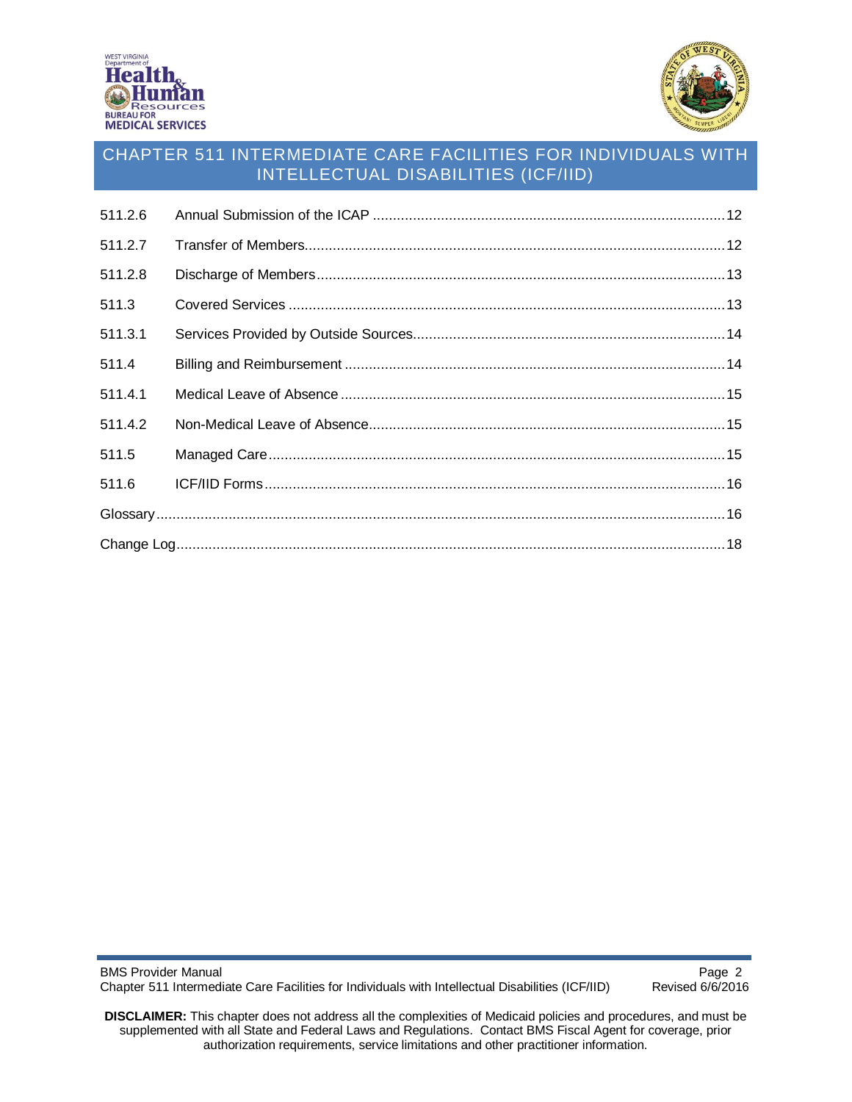



| 511.2.6 |  |
|---------|--|
| 511.2.7 |  |
| 511.2.8 |  |
| 511.3   |  |
| 511.3.1 |  |
| 511.4   |  |
| 511.4.1 |  |
| 511.4.2 |  |
| 511.5   |  |
| 511.6   |  |
|         |  |
|         |  |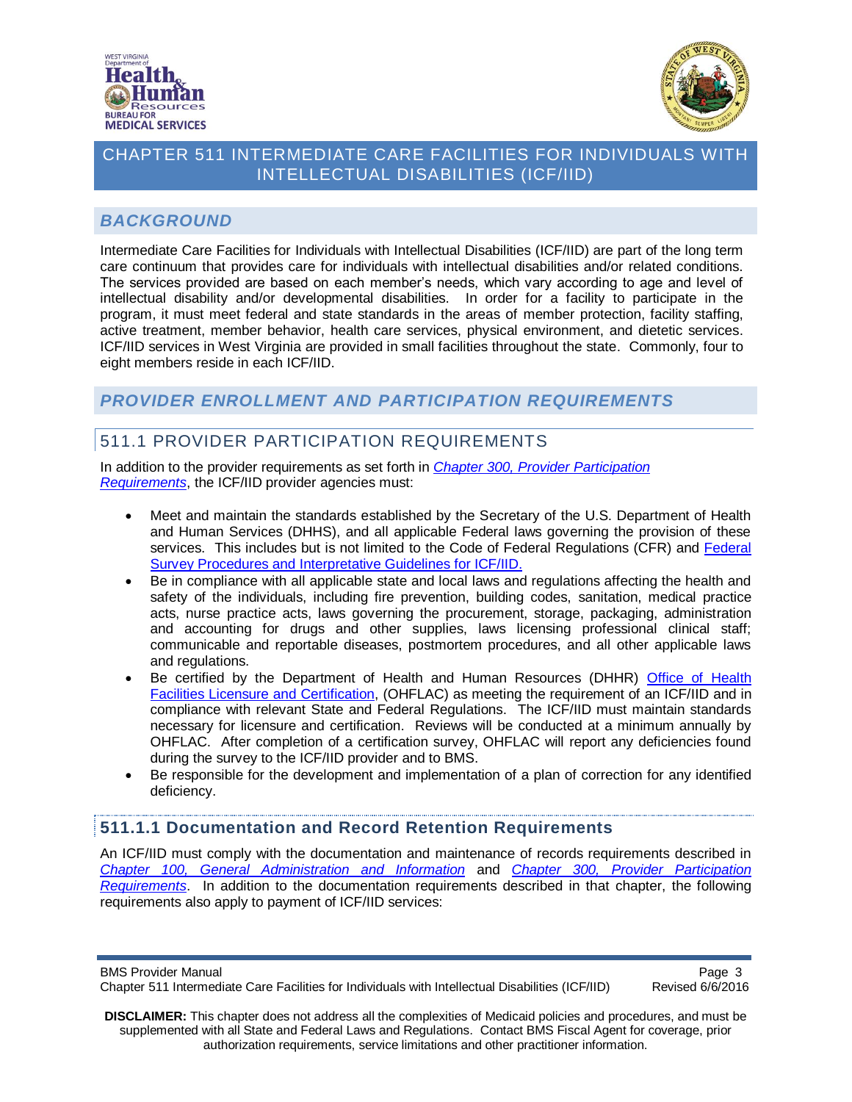



## <span id="page-2-0"></span>*BACKGROUND*

Intermediate Care Facilities for Individuals with Intellectual Disabilities (ICF/IID) are part of the long term care continuum that provides care for individuals with intellectual disabilities and/or related conditions. The services provided are based on each member's needs, which vary according to age and level of intellectual disability and/or developmental disabilities. In order for a facility to participate in the program, it must meet federal and state standards in the areas of member protection, facility staffing, active treatment, member behavior, health care services, physical environment, and dietetic services. ICF/IID services in West Virginia are provided in small facilities throughout the state. Commonly, four to eight members reside in each ICF/IID.

## <span id="page-2-1"></span>*PROVIDER ENROLLMENT AND PARTICIPATION REQUIREMENTS*

# <span id="page-2-2"></span>511.1 PROVIDER PARTICIPATION REQUIREMENTS

In addition to the provider requirements as set forth in *[Chapter 300, Provider Participation](http://www.dhhr.wv.gov/bms/Pages/Manuals.aspx) [Requirements](http://www.dhhr.wv.gov/bms/Pages/Manuals.aspx)*, the ICF/IID provider agencies must:

- Meet and maintain the standards established by the Secretary of the U.S. Department of Health and Human Services (DHHS), and all applicable Federal laws governing the provision of these services. This includes but is not limited to the Code of Federal Regulations (CFR) and [Federal](http://www.cms.gov/Regulations-and-Guidance/Guidance/Manuals/downloads/som107ap_j_intermcare.pdf)  [Survey Procedures and Interpretative Guidelines for ICF/IID.](http://www.cms.gov/Regulations-and-Guidance/Guidance/Manuals/downloads/som107ap_j_intermcare.pdf)
- Be in compliance with all applicable state and local laws and regulations affecting the health and safety of the individuals, including fire prevention, building codes, sanitation, medical practice acts, nurse practice acts, laws governing the procurement, storage, packaging, administration and accounting for drugs and other supplies, laws licensing professional clinical staff; communicable and reportable diseases, postmortem procedures, and all other applicable laws and regulations.
- Be certified by the Department of Health and Human Resources (DHHR) [Office of Health](http://ohflac.wv.gov/)  [Facilities Licensure and Certification,](http://ohflac.wv.gov/) (OHFLAC) as meeting the requirement of an ICF/IID and in compliance with relevant State and Federal Regulations. The ICF/IID must maintain standards necessary for licensure and certification. Reviews will be conducted at a minimum annually by OHFLAC. After completion of a certification survey, OHFLAC will report any deficiencies found during the survey to the ICF/IID provider and to BMS.
- Be responsible for the development and implementation of a plan of correction for any identified deficiency.

## <span id="page-2-3"></span>**511.1.1 Documentation and Record Retention Requirements**

An ICF/IID must comply with the documentation and maintenance of records requirements described in *Chapter 100, [General Administration and Information](http://www.dhhr.wv.gov/bms/Pages/Manuals.aspx)* and *Chapter 300, [Provider Participation](http://www.dhhr.wv.gov/bms/Pages/Manuals.aspx)  [Requirements](http://www.dhhr.wv.gov/bms/Pages/Manuals.aspx)*. In addition to the documentation requirements described in that chapter, the following requirements also apply to payment of ICF/IID services:

BMS Provider Manual<br>Chapter 511 Intermediate Care Facilities for Individuals with Intellectual Disabilities (ICF/IID) Revised 6/6/2016 Chapter 511 Intermediate Care Facilities for Individuals with Intellectual Disabilities (ICF/IID)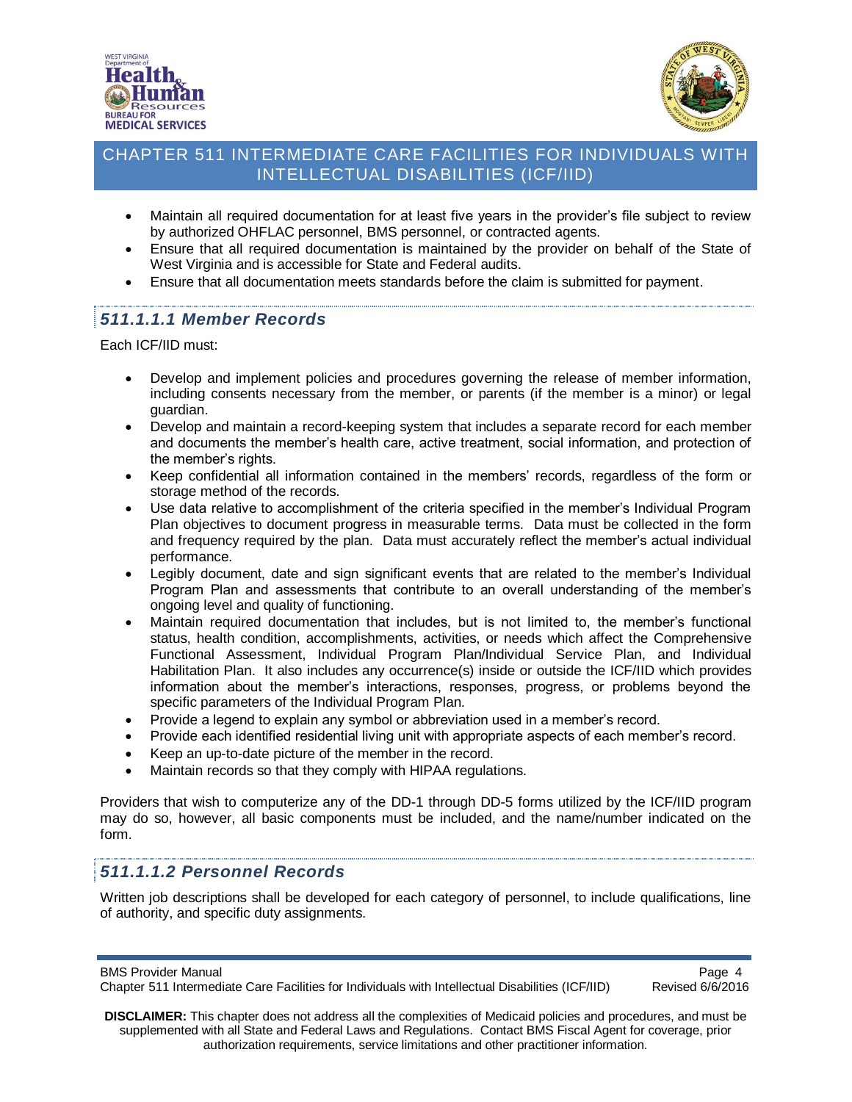



- Maintain all required documentation for at least five years in the provider's file subject to review by authorized OHFLAC personnel, BMS personnel, or contracted agents.
- Ensure that all required documentation is maintained by the provider on behalf of the State of West Virginia and is accessible for State and Federal audits.
- Ensure that all documentation meets standards before the claim is submitted for payment.

## <span id="page-3-0"></span>*511.1.1.1 Member Records*

Each ICF/IID must:

- Develop and implement policies and procedures governing the release of member information, including consents necessary from the member, or parents (if the member is a minor) or legal guardian.
- Develop and maintain a record-keeping system that includes a separate record for each member and documents the member's health care, active treatment, social information, and protection of the member's rights.
- Keep confidential all information contained in the members' records, regardless of the form or storage method of the records.
- Use data relative to accomplishment of the criteria specified in the member's Individual Program Plan objectives to document progress in measurable terms. Data must be collected in the form and frequency required by the plan. Data must accurately reflect the member's actual individual performance.
- Legibly document, date and sign significant events that are related to the member's Individual Program Plan and assessments that contribute to an overall understanding of the member's ongoing level and quality of functioning.
- Maintain required documentation that includes, but is not limited to, the member's functional status, health condition, accomplishments, activities, or needs which affect the Comprehensive Functional Assessment, Individual Program Plan/Individual Service Plan, and Individual Habilitation Plan. It also includes any occurrence(s) inside or outside the ICF/IID which provides information about the member's interactions, responses, progress, or problems beyond the specific parameters of the Individual Program Plan.
- Provide a legend to explain any symbol or abbreviation used in a member's record.
- Provide each identified residential living unit with appropriate aspects of each member's record.
- Keep an up-to-date picture of the member in the record.
- Maintain records so that they comply with HIPAA regulations.

Providers that wish to computerize any of the DD-1 through DD-5 forms utilized by the ICF/IID program may do so, however, all basic components must be included, and the name/number indicated on the form.

## <span id="page-3-1"></span>*511.1.1.2 Personnel Records*

Written job descriptions shall be developed for each category of personnel, to include qualifications, line of authority, and specific duty assignments.

BMS Provider Manual<br>Chapter 511 Intermediate Care Facilities for Individuals with Intellectual Disabilities (ICF/IID) Revised 6/6/2016 Chapter 511 Intermediate Care Facilities for Individuals with Intellectual Disabilities (ICF/IID)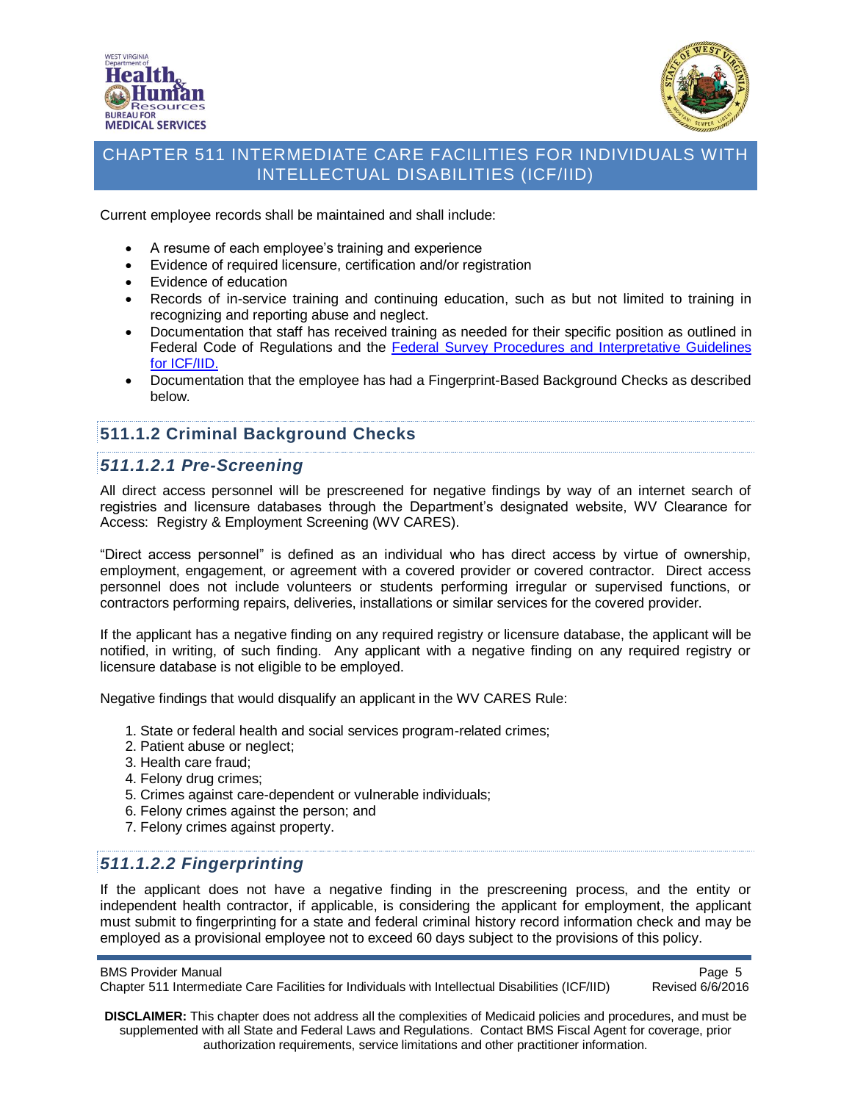



Current employee records shall be maintained and shall include:

- A resume of each employee's training and experience
- Evidence of required licensure, certification and/or registration
- Evidence of education
- Records of in-service training and continuing education, such as but not limited to training in recognizing and reporting abuse and neglect.
- Documentation that staff has received training as needed for their specific position as outlined in Federal Code of Regulations and the [Federal Survey Procedures and Interpretative Guidelines](http://www.cms.gov/Regulations-and-Guidance/Guidance/Manuals/downloads/som107ap_j_intermcare.pdf)  [for ICF/IID.](http://www.cms.gov/Regulations-and-Guidance/Guidance/Manuals/downloads/som107ap_j_intermcare.pdf)
- Documentation that the employee has had a Fingerprint-Based Background Checks as described below.

## <span id="page-4-0"></span>**511.1.2 Criminal Background Checks**

#### <span id="page-4-1"></span>*511.1.2.1 Pre-Screening*

All direct access personnel will be prescreened for negative findings by way of an internet search of registries and licensure databases through the Department's designated website, WV Clearance for Access: Registry & Employment Screening (WV CARES).

"Direct access personnel" is defined as an individual who has direct access by virtue of ownership, employment, engagement, or agreement with a covered provider or covered contractor. Direct access personnel does not include volunteers or students performing irregular or supervised functions, or contractors performing repairs, deliveries, installations or similar services for the covered provider.

If the applicant has a negative finding on any required registry or licensure database, the applicant will be notified, in writing, of such finding. Any applicant with a negative finding on any required registry or licensure database is not eligible to be employed.

Negative findings that would disqualify an applicant in the WV CARES Rule:

- 1. State or federal health and social services program-related crimes;
- 2. Patient abuse or neglect;
- 3. Health care fraud;
- 4. Felony drug crimes;
- 5. Crimes against care-dependent or vulnerable individuals;
- 6. Felony crimes against the person; and
- 7. Felony crimes against property.

## <span id="page-4-2"></span>*511.1.2.2 Fingerprinting*

If the applicant does not have a negative finding in the prescreening process, and the entity or independent health contractor, if applicable, is considering the applicant for employment, the applicant must submit to fingerprinting for a state and federal criminal history record information check and may be employed as a provisional employee not to exceed 60 days subject to the provisions of this policy.

BMS Provider Manual<br>Chapter 511 Intermediate Care Facilities for Individuals with Intellectual Disabilities (ICF/IID) Revised 6/6/2016 Chapter 511 Intermediate Care Facilities for Individuals with Intellectual Disabilities (ICF/IID)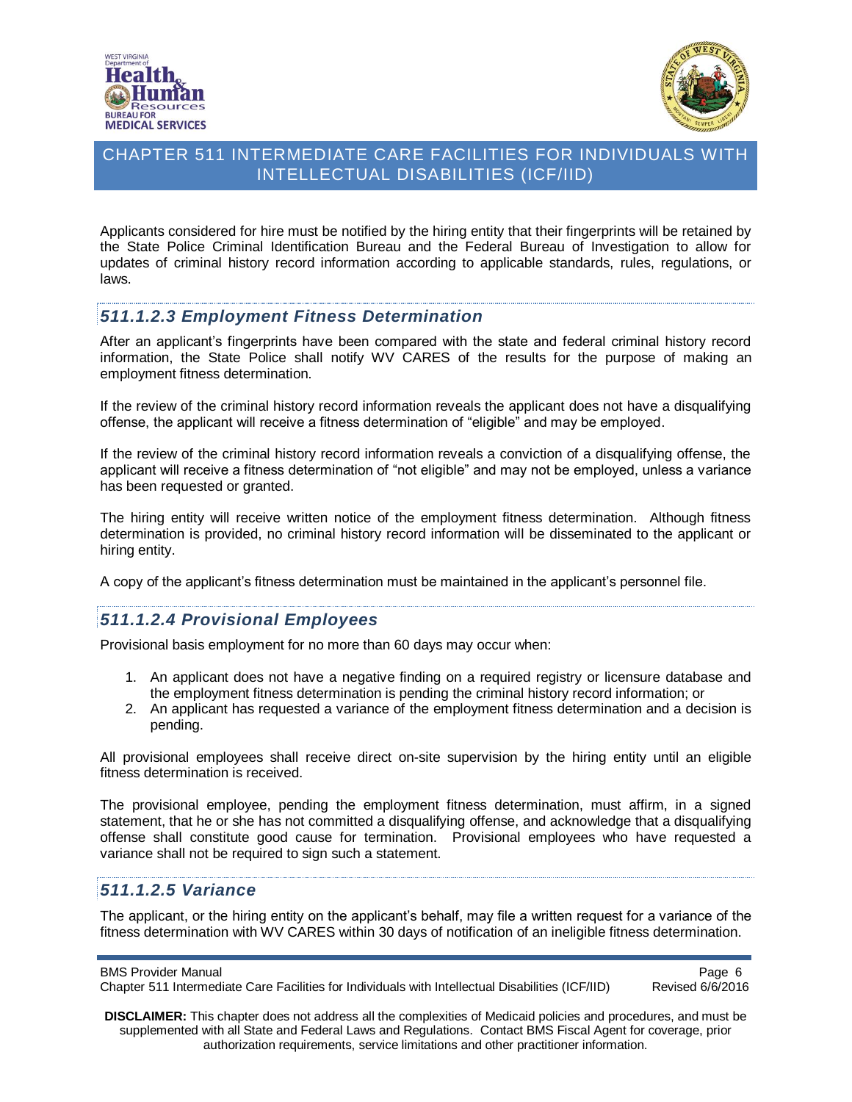



Applicants considered for hire must be notified by the hiring entity that their fingerprints will be retained by the State Police Criminal Identification Bureau and the Federal Bureau of Investigation to allow for updates of criminal history record information according to applicable standards, rules, regulations, or laws.

#### <span id="page-5-0"></span>*511.1.2.3 Employment Fitness Determination*

After an applicant's fingerprints have been compared with the state and federal criminal history record information, the State Police shall notify WV CARES of the results for the purpose of making an employment fitness determination.

If the review of the criminal history record information reveals the applicant does not have a disqualifying offense, the applicant will receive a fitness determination of "eligible" and may be employed.

If the review of the criminal history record information reveals a conviction of a disqualifying offense, the applicant will receive a fitness determination of "not eligible" and may not be employed, unless a variance has been requested or granted.

The hiring entity will receive written notice of the employment fitness determination. Although fitness determination is provided, no criminal history record information will be disseminated to the applicant or hiring entity.

A copy of the applicant's fitness determination must be maintained in the applicant's personnel file.

## <span id="page-5-1"></span>*511.1.2.4 Provisional Employees*

Provisional basis employment for no more than 60 days may occur when:

- 1. An applicant does not have a negative finding on a required registry or licensure database and the employment fitness determination is pending the criminal history record information; or
- 2. An applicant has requested a variance of the employment fitness determination and a decision is pending.

All provisional employees shall receive direct on-site supervision by the hiring entity until an eligible fitness determination is received.

The provisional employee, pending the employment fitness determination, must affirm, in a signed statement, that he or she has not committed a disqualifying offense, and acknowledge that a disqualifying offense shall constitute good cause for termination. Provisional employees who have requested a variance shall not be required to sign such a statement.

## <span id="page-5-2"></span>*511.1.2.5 Variance*

The applicant, or the hiring entity on the applicant's behalf, may file a written request for a variance of the fitness determination with WV CARES within 30 days of notification of an ineligible fitness determination.

BMS Provider Manual<br>Chapter 511 Intermediate Care Facilities for Individuals with Intellectual Disabilities (ICF/IID) Revised 6/6/2016 Chapter 511 Intermediate Care Facilities for Individuals with Intellectual Disabilities (ICF/IID)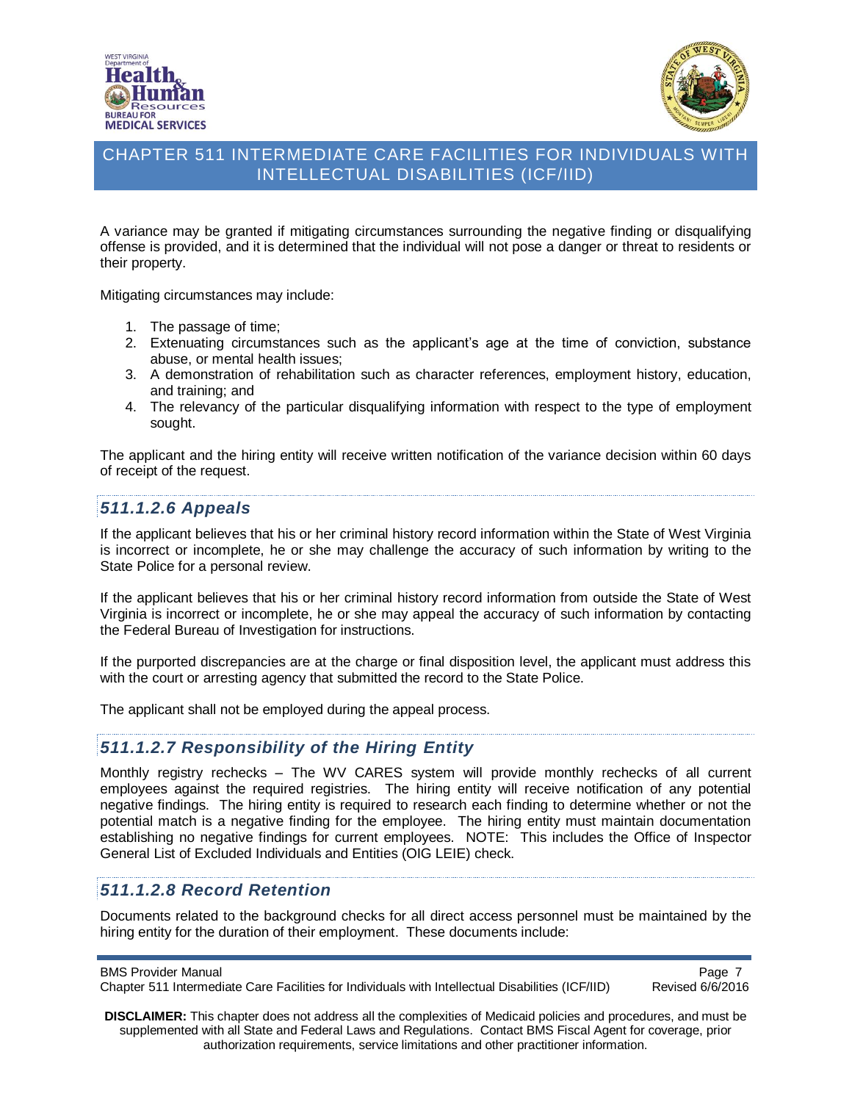



A variance may be granted if mitigating circumstances surrounding the negative finding or disqualifying offense is provided, and it is determined that the individual will not pose a danger or threat to residents or their property.

Mitigating circumstances may include:

- 1. The passage of time;
- 2. Extenuating circumstances such as the applicant's age at the time of conviction, substance abuse, or mental health issues;
- 3. A demonstration of rehabilitation such as character references, employment history, education, and training; and
- 4. The relevancy of the particular disqualifying information with respect to the type of employment sought.

The applicant and the hiring entity will receive written notification of the variance decision within 60 days of receipt of the request.

#### <span id="page-6-0"></span>*511.1.2.6 Appeals*

If the applicant believes that his or her criminal history record information within the State of West Virginia is incorrect or incomplete, he or she may challenge the accuracy of such information by writing to the State Police for a personal review.

If the applicant believes that his or her criminal history record information from outside the State of West Virginia is incorrect or incomplete, he or she may appeal the accuracy of such information by contacting the Federal Bureau of Investigation for instructions.

If the purported discrepancies are at the charge or final disposition level, the applicant must address this with the court or arresting agency that submitted the record to the State Police.

The applicant shall not be employed during the appeal process.

#### <span id="page-6-1"></span>*511.1.2.7 Responsibility of the Hiring Entity*

Monthly registry rechecks – The WV CARES system will provide monthly rechecks of all current employees against the required registries. The hiring entity will receive notification of any potential negative findings. The hiring entity is required to research each finding to determine whether or not the potential match is a negative finding for the employee. The hiring entity must maintain documentation establishing no negative findings for current employees. NOTE: This includes the Office of Inspector General List of Excluded Individuals and Entities (OIG LEIE) check.

## <span id="page-6-2"></span>*511.1.2.8 Record Retention*

Documents related to the background checks for all direct access personnel must be maintained by the hiring entity for the duration of their employment. These documents include:

BMS Provider Manual<br>Chapter 511 Intermediate Care Facilities for Individuals with Intellectual Disabilities (ICF/IID) Revised 6/6/2016 Chapter 511 Intermediate Care Facilities for Individuals with Intellectual Disabilities (ICF/IID)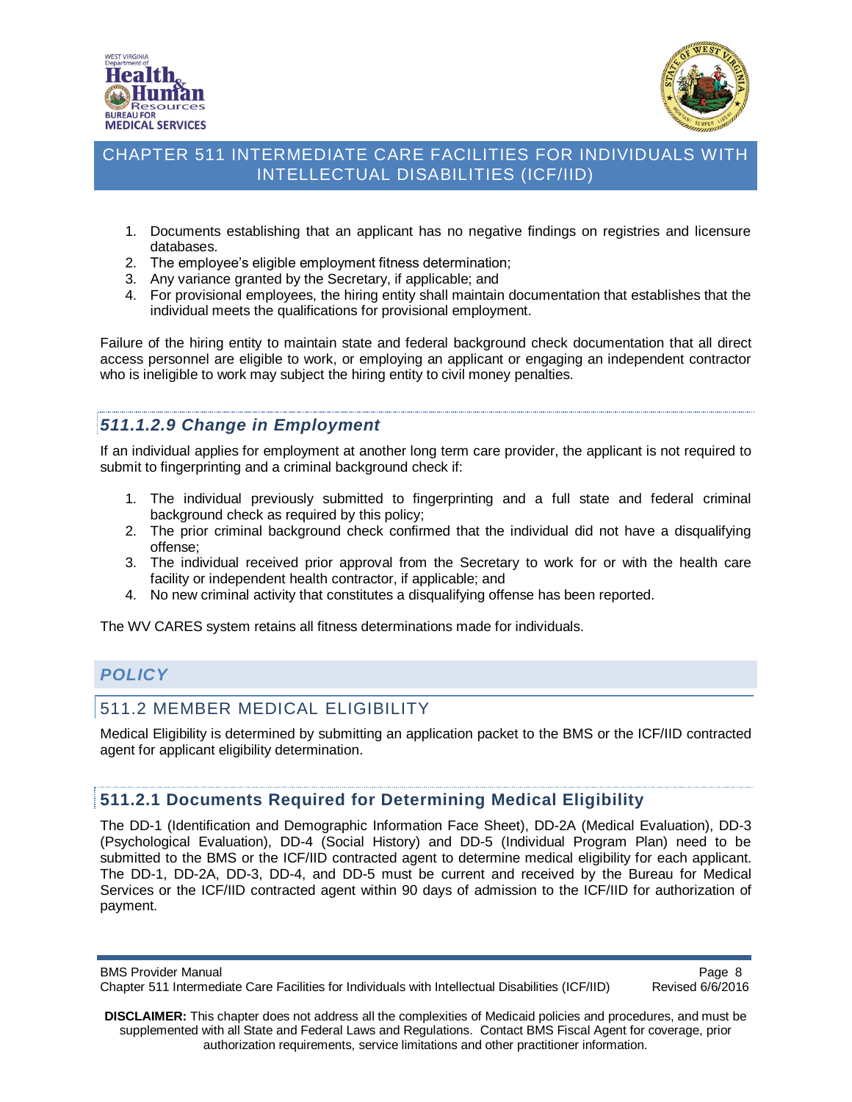



- 1. Documents establishing that an applicant has no negative findings on registries and licensure databases.
- 2. The employee's eligible employment fitness determination;
- 3. Any variance granted by the Secretary, if applicable; and
- 4. For provisional employees, the hiring entity shall maintain documentation that establishes that the individual meets the qualifications for provisional employment.

Failure of the hiring entity to maintain state and federal background check documentation that all direct access personnel are eligible to work, or employing an applicant or engaging an independent contractor who is ineligible to work may subject the hiring entity to civil money penalties.

# <span id="page-7-0"></span>*511.1.2.9 Change in Employment*

If an individual applies for employment at another long term care provider, the applicant is not required to submit to fingerprinting and a criminal background check if:

- 1. The individual previously submitted to fingerprinting and a full state and federal criminal background check as required by this policy;
- 2. The prior criminal background check confirmed that the individual did not have a disqualifying offense;
- 3. The individual received prior approval from the Secretary to work for or with the health care facility or independent health contractor, if applicable; and
- 4. No new criminal activity that constitutes a disqualifying offense has been reported.

The WV CARES system retains all fitness determinations made for individuals.

# <span id="page-7-1"></span>*POLICY*

#### <span id="page-7-2"></span>511.2 MEMBER MEDICAL ELIGIBILITY

Medical Eligibility is determined by submitting an application packet to the BMS or the ICF/IID contracted agent for applicant eligibility determination.

#### <span id="page-7-3"></span>**511.2.1 Documents Required for Determining Medical Eligibility**

The DD-1 (Identification and Demographic Information Face Sheet), DD-2A (Medical Evaluation), DD-3 (Psychological Evaluation), DD-4 (Social History) and DD-5 (Individual Program Plan) need to be submitted to the BMS or the ICF/IID contracted agent to determine medical eligibility for each applicant. The DD-1, DD-2A, DD-3, DD-4, and DD-5 must be current and received by the Bureau for Medical Services or the ICF/IID contracted agent within 90 days of admission to the ICF/IID for authorization of payment.

**DISCLAIMER:** This chapter does not address all the complexities of Medicaid policies and procedures, and must be supplemented with all State and Federal Laws and Regulations. Contact BMS Fiscal Agent for coverage, prior authorization requirements, service limitations and other practitioner information.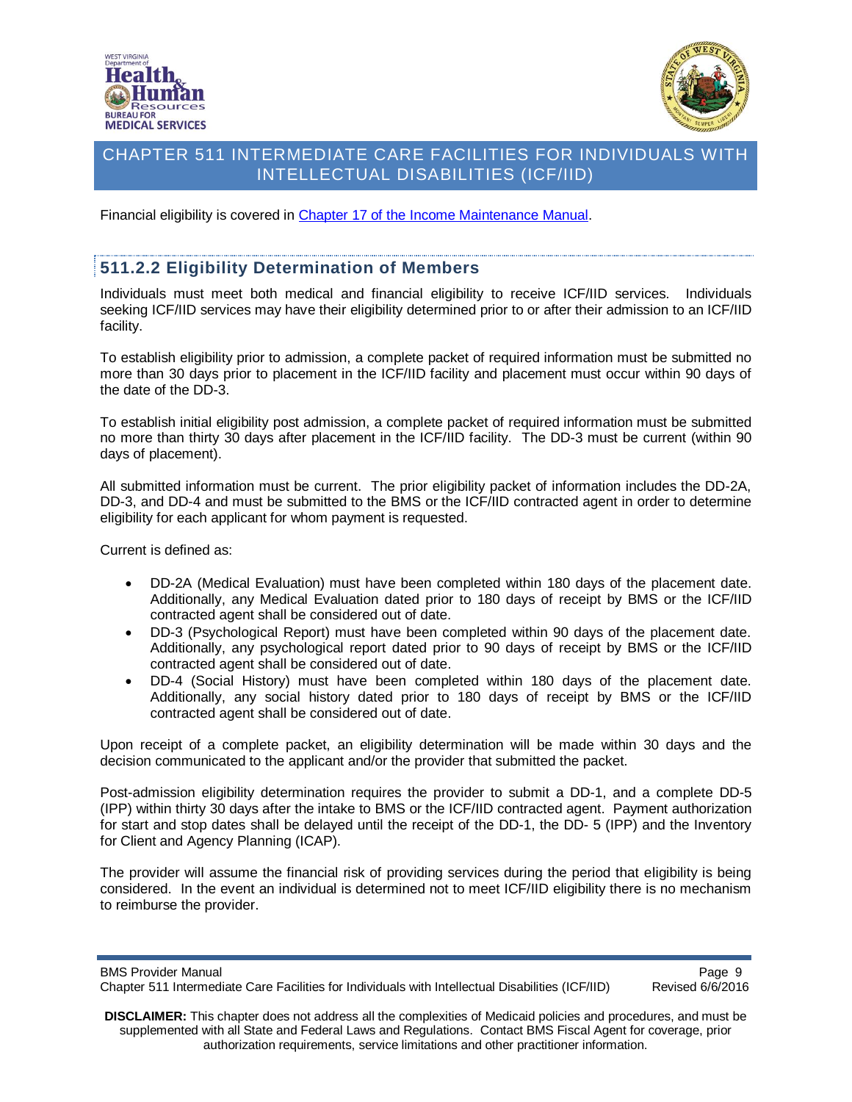



Financial eligibility is covered in [Chapter 17 of the Income Maintenance Manual.](http://www.wvdhhr.org/bcf/policy/imm/New_Manual/default.asp)

#### <span id="page-8-0"></span>**511.2.2 Eligibility Determination of Members**

Individuals must meet both medical and financial eligibility to receive ICF/IID services. Individuals seeking ICF/IID services may have their eligibility determined prior to or after their admission to an ICF/IID facility.

To establish eligibility prior to admission, a complete packet of required information must be submitted no more than 30 days prior to placement in the ICF/IID facility and placement must occur within 90 days of the date of the DD-3.

To establish initial eligibility post admission, a complete packet of required information must be submitted no more than thirty 30 days after placement in the ICF/IID facility. The DD-3 must be current (within 90 days of placement).

All submitted information must be current. The prior eligibility packet of information includes the DD-2A, DD-3, and DD-4 and must be submitted to the BMS or the ICF/IID contracted agent in order to determine eligibility for each applicant for whom payment is requested.

Current is defined as:

- DD-2A (Medical Evaluation) must have been completed within 180 days of the placement date. Additionally, any Medical Evaluation dated prior to 180 days of receipt by BMS or the ICF/IID contracted agent shall be considered out of date.
- DD-3 (Psychological Report) must have been completed within 90 days of the placement date. Additionally, any psychological report dated prior to 90 days of receipt by BMS or the ICF/IID contracted agent shall be considered out of date.
- DD-4 (Social History) must have been completed within 180 days of the placement date. Additionally, any social history dated prior to 180 days of receipt by BMS or the ICF/IID contracted agent shall be considered out of date.

Upon receipt of a complete packet, an eligibility determination will be made within 30 days and the decision communicated to the applicant and/or the provider that submitted the packet.

Post-admission eligibility determination requires the provider to submit a DD-1, and a complete DD-5 (IPP) within thirty 30 days after the intake to BMS or the ICF/IID contracted agent. Payment authorization for start and stop dates shall be delayed until the receipt of the DD-1, the DD- 5 (IPP) and the Inventory for Client and Agency Planning (ICAP).

The provider will assume the financial risk of providing services during the period that eligibility is being considered. In the event an individual is determined not to meet ICF/IID eligibility there is no mechanism to reimburse the provider.

BMS Provider Manual<br>Chapter 511 Intermediate Care Facilities for Individuals with Intellectual Disabilities (ICF/IID) Revised 6/6/2016 Chapter 511 Intermediate Care Facilities for Individuals with Intellectual Disabilities (ICF/IID)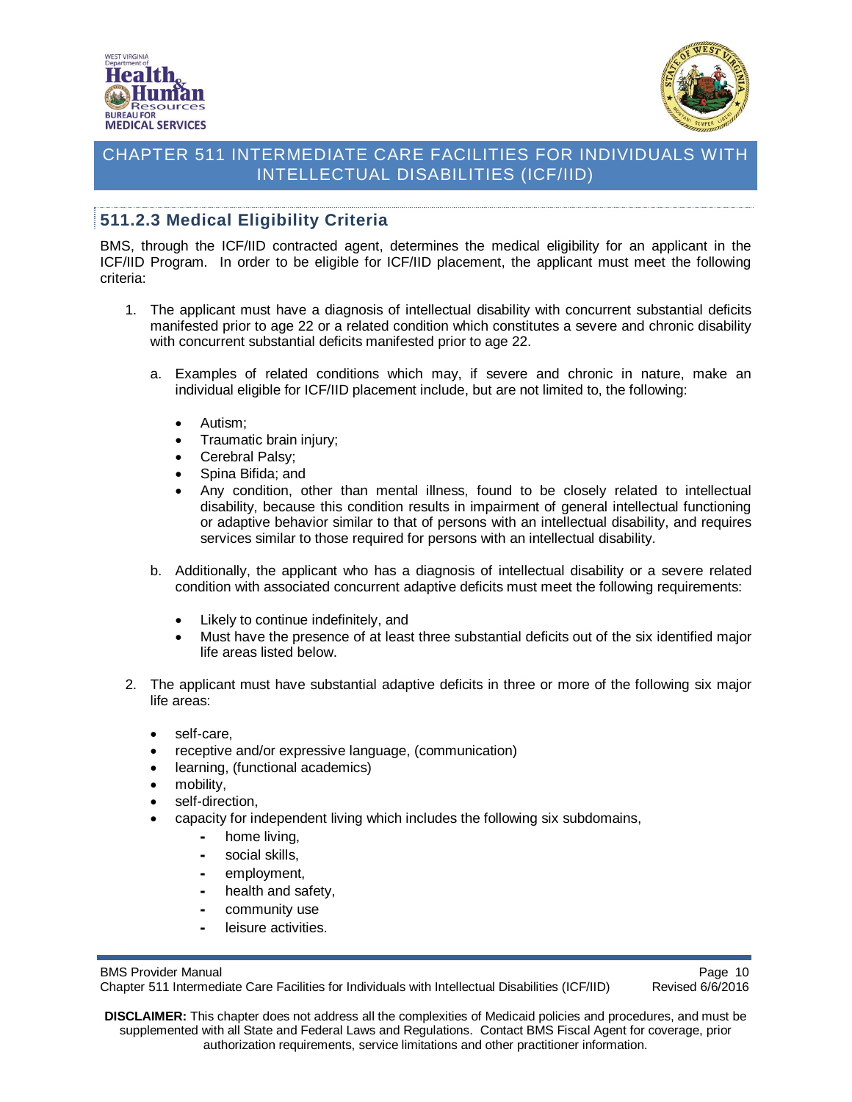



# <span id="page-9-0"></span>**511.2.3 Medical Eligibility Criteria**

BMS, through the ICF/IID contracted agent, determines the medical eligibility for an applicant in the ICF/IID Program. In order to be eligible for ICF/IID placement, the applicant must meet the following criteria:

- 1. The applicant must have a diagnosis of intellectual disability with concurrent substantial deficits manifested prior to age 22 or a related condition which constitutes a severe and chronic disability with concurrent substantial deficits manifested prior to age 22.
	- a. Examples of related conditions which may, if severe and chronic in nature, make an individual eligible for ICF/IID placement include, but are not limited to, the following:
		- Autism:
		- Traumatic brain injury;
		- Cerebral Palsy;
		- Spina Bifida; and
		- Any condition, other than mental illness, found to be closely related to intellectual disability, because this condition results in impairment of general intellectual functioning or adaptive behavior similar to that of persons with an intellectual disability, and requires services similar to those required for persons with an intellectual disability.
	- b. Additionally, the applicant who has a diagnosis of intellectual disability or a severe related condition with associated concurrent adaptive deficits must meet the following requirements:
		- Likely to continue indefinitely, and
		- Must have the presence of at least three substantial deficits out of the six identified major life areas listed below.
- 2. The applicant must have substantial adaptive deficits in three or more of the following six major life areas:
	- self-care,
	- receptive and/or expressive language, (communication)
	- learning, (functional academics)
	- mobility,
	- self-direction,
	- capacity for independent living which includes the following six subdomains,
		- home living.
		- social skills,
		- employment,
		- health and safety,
		- community use
		- leisure activities.

BMS Provider Manual<br>Chapter 511 Intermediate Care Facilities for Individuals with Intellectual Disabilities (ICF/IID) Revised 6/6/2016 Chapter 511 Intermediate Care Facilities for Individuals with Intellectual Disabilities (ICF/IID)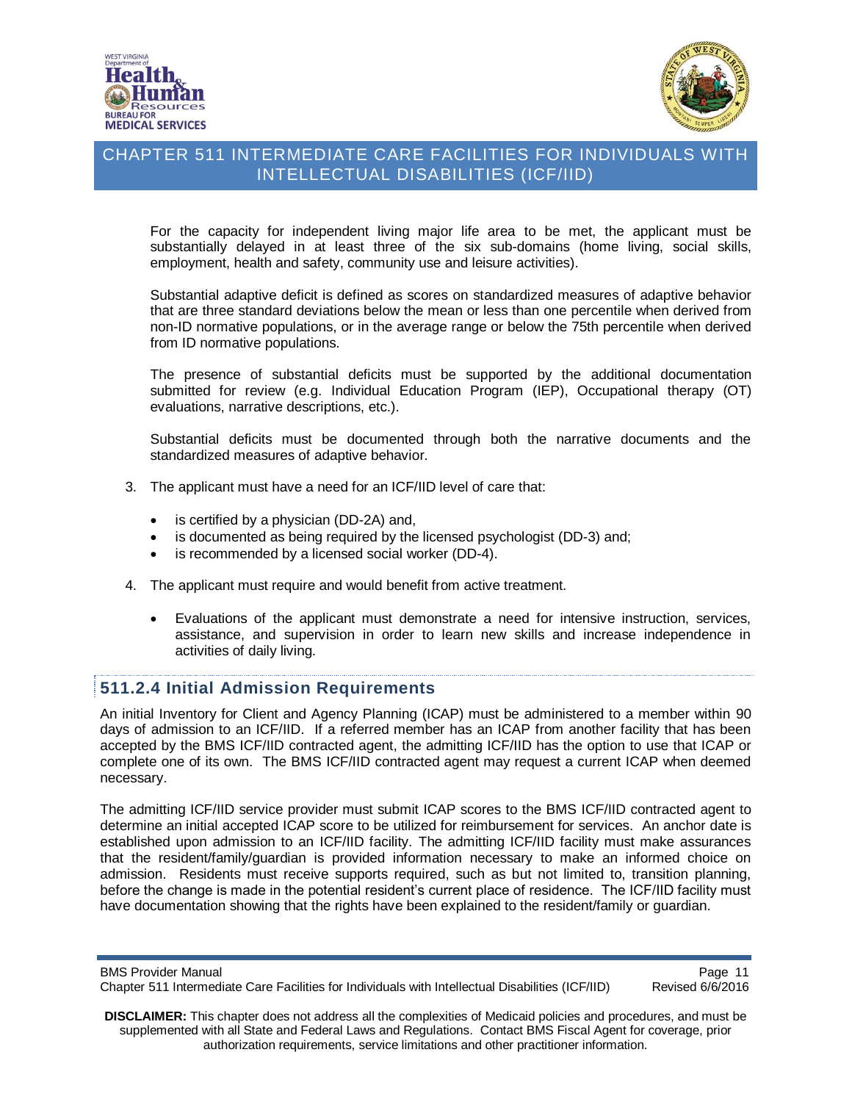



For the capacity for independent living major life area to be met, the applicant must be substantially delayed in at least three of the six sub-domains (home living, social skills, employment, health and safety, community use and leisure activities).

Substantial adaptive deficit is defined as scores on standardized measures of adaptive behavior that are three standard deviations below the mean or less than one percentile when derived from non-ID normative populations, or in the average range or below the 75th percentile when derived from ID normative populations.

The presence of substantial deficits must be supported by the additional documentation submitted for review (e.g. Individual Education Program (IEP), Occupational therapy (OT) evaluations, narrative descriptions, etc.).

Substantial deficits must be documented through both the narrative documents and the standardized measures of adaptive behavior.

- 3. The applicant must have a need for an ICF/IID level of care that:
	- is certified by a physician (DD-2A) and,
	- is documented as being required by the licensed psychologist (DD-3) and;
	- is recommended by a licensed social worker (DD-4).
- 4. The applicant must require and would benefit from active treatment.
	- Evaluations of the applicant must demonstrate a need for intensive instruction, services, assistance, and supervision in order to learn new skills and increase independence in activities of daily living.

#### <span id="page-10-0"></span>**511.2.4 Initial Admission Requirements**

An initial Inventory for Client and Agency Planning (ICAP) must be administered to a member within 90 days of admission to an ICF/IID. If a referred member has an ICAP from another facility that has been accepted by the BMS ICF/IID contracted agent, the admitting ICF/IID has the option to use that ICAP or complete one of its own. The BMS ICF/IID contracted agent may request a current ICAP when deemed necessary.

The admitting ICF/IID service provider must submit ICAP scores to the BMS ICF/IID contracted agent to determine an initial accepted ICAP score to be utilized for reimbursement for services. An anchor date is established upon admission to an ICF/IID facility. The admitting ICF/IID facility must make assurances that the resident/family/guardian is provided information necessary to make an informed choice on admission. Residents must receive supports required, such as but not limited to, transition planning, before the change is made in the potential resident's current place of residence. The ICF/IID facility must have documentation showing that the rights have been explained to the resident/family or guardian.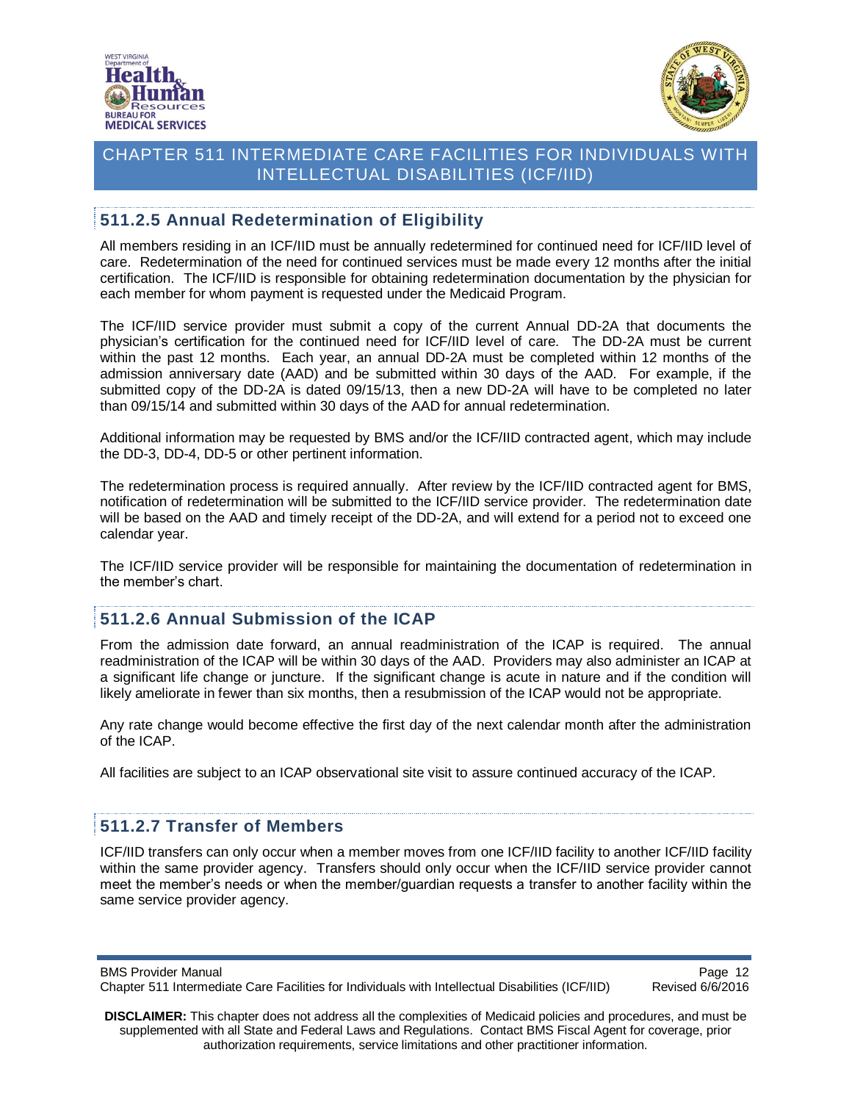



## <span id="page-11-0"></span>**511.2.5 Annual Redetermination of Eligibility**

All members residing in an ICF/IID must be annually redetermined for continued need for ICF/IID level of care. Redetermination of the need for continued services must be made every 12 months after the initial certification. The ICF/IID is responsible for obtaining redetermination documentation by the physician for each member for whom payment is requested under the Medicaid Program.

The ICF/IID service provider must submit a copy of the current Annual DD-2A that documents the physician's certification for the continued need for ICF/IID level of care. The DD-2A must be current within the past 12 months. Each year, an annual DD-2A must be completed within 12 months of the admission anniversary date (AAD) and be submitted within 30 days of the AAD. For example, if the submitted copy of the DD-2A is dated 09/15/13, then a new DD-2A will have to be completed no later than 09/15/14 and submitted within 30 days of the AAD for annual redetermination.

Additional information may be requested by BMS and/or the ICF/IID contracted agent, which may include the DD-3, DD-4, DD-5 or other pertinent information.

The redetermination process is required annually. After review by the ICF/IID contracted agent for BMS, notification of redetermination will be submitted to the ICF/IID service provider. The redetermination date will be based on the AAD and timely receipt of the DD-2A, and will extend for a period not to exceed one calendar year.

The ICF/IID service provider will be responsible for maintaining the documentation of redetermination in the member's chart.

#### <span id="page-11-1"></span>**511.2.6 Annual Submission of the ICAP**

From the admission date forward, an annual readministration of the ICAP is required. The annual readministration of the ICAP will be within 30 days of the AAD. Providers may also administer an ICAP at a significant life change or juncture. If the significant change is acute in nature and if the condition will likely ameliorate in fewer than six months, then a resubmission of the ICAP would not be appropriate.

Any rate change would become effective the first day of the next calendar month after the administration of the ICAP.

All facilities are subject to an ICAP observational site visit to assure continued accuracy of the ICAP.

## <span id="page-11-2"></span>**511.2.7 Transfer of Members**

ICF/IID transfers can only occur when a member moves from one ICF/IID facility to another ICF/IID facility within the same provider agency. Transfers should only occur when the ICF/IID service provider cannot meet the member's needs or when the member/guardian requests a transfer to another facility within the same service provider agency.

Page 12<br>Chapter 511 Intermediate Care Facilities for Individuals with Intellectual Disabilities (ICF/IID) Revised 6/6/2016 Chapter 511 Intermediate Care Facilities for Individuals with Intellectual Disabilities (ICF/IID)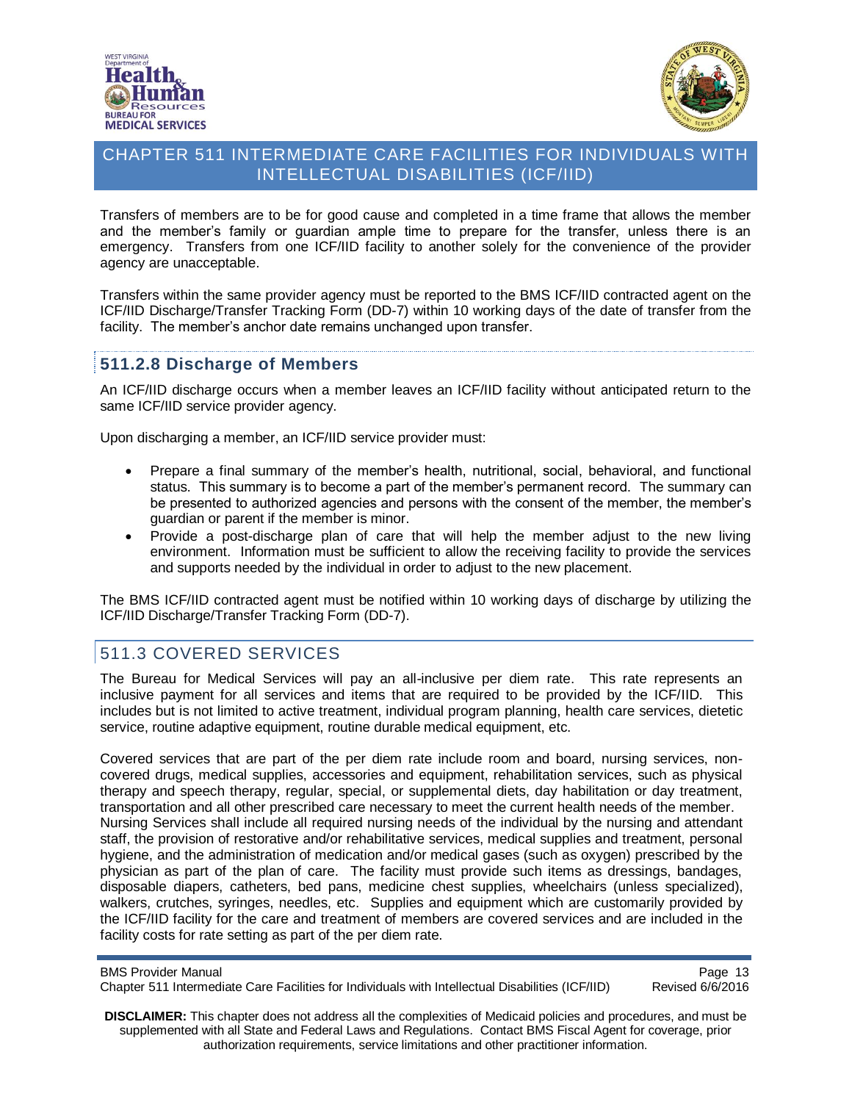



Transfers of members are to be for good cause and completed in a time frame that allows the member and the member's family or guardian ample time to prepare for the transfer, unless there is an emergency. Transfers from one ICF/IID facility to another solely for the convenience of the provider agency are unacceptable.

Transfers within the same provider agency must be reported to the BMS ICF/IID contracted agent on the ICF/IID Discharge/Transfer Tracking Form (DD-7) within 10 working days of the date of transfer from the facility. The member's anchor date remains unchanged upon transfer.

## <span id="page-12-0"></span>**511.2.8 Discharge of Members**

An ICF/IID discharge occurs when a member leaves an ICF/IID facility without anticipated return to the same ICF/IID service provider agency.

Upon discharging a member, an ICF/IID service provider must:

- Prepare a final summary of the member's health, nutritional, social, behavioral, and functional status. This summary is to become a part of the member's permanent record. The summary can be presented to authorized agencies and persons with the consent of the member, the member's guardian or parent if the member is minor.
- Provide a post-discharge plan of care that will help the member adjust to the new living environment. Information must be sufficient to allow the receiving facility to provide the services and supports needed by the individual in order to adjust to the new placement.

The BMS ICF/IID contracted agent must be notified within 10 working days of discharge by utilizing the ICF/IID Discharge/Transfer Tracking Form (DD-7).

# <span id="page-12-1"></span>511.3 COVERED SERVICES

The Bureau for Medical Services will pay an all-inclusive per diem rate. This rate represents an inclusive payment for all services and items that are required to be provided by the ICF/IID. This includes but is not limited to active treatment, individual program planning, health care services, dietetic service, routine adaptive equipment, routine durable medical equipment, etc.

Covered services that are part of the per diem rate include room and board, nursing services, noncovered drugs, medical supplies, accessories and equipment, rehabilitation services, such as physical therapy and speech therapy, regular, special, or supplemental diets, day habilitation or day treatment, transportation and all other prescribed care necessary to meet the current health needs of the member. Nursing Services shall include all required nursing needs of the individual by the nursing and attendant staff, the provision of restorative and/or rehabilitative services, medical supplies and treatment, personal hygiene, and the administration of medication and/or medical gases (such as oxygen) prescribed by the physician as part of the plan of care. The facility must provide such items as dressings, bandages, disposable diapers, catheters, bed pans, medicine chest supplies, wheelchairs (unless specialized), walkers, crutches, syringes, needles, etc. Supplies and equipment which are customarily provided by the ICF/IID facility for the care and treatment of members are covered services and are included in the facility costs for rate setting as part of the per diem rate.

Page 13<br>Chapter 511 Intermediate Care Facilities for Individuals with Intellectual Disabilities (ICF/IID) Revised 6/6/2016 Chapter 511 Intermediate Care Facilities for Individuals with Intellectual Disabilities (ICF/IID)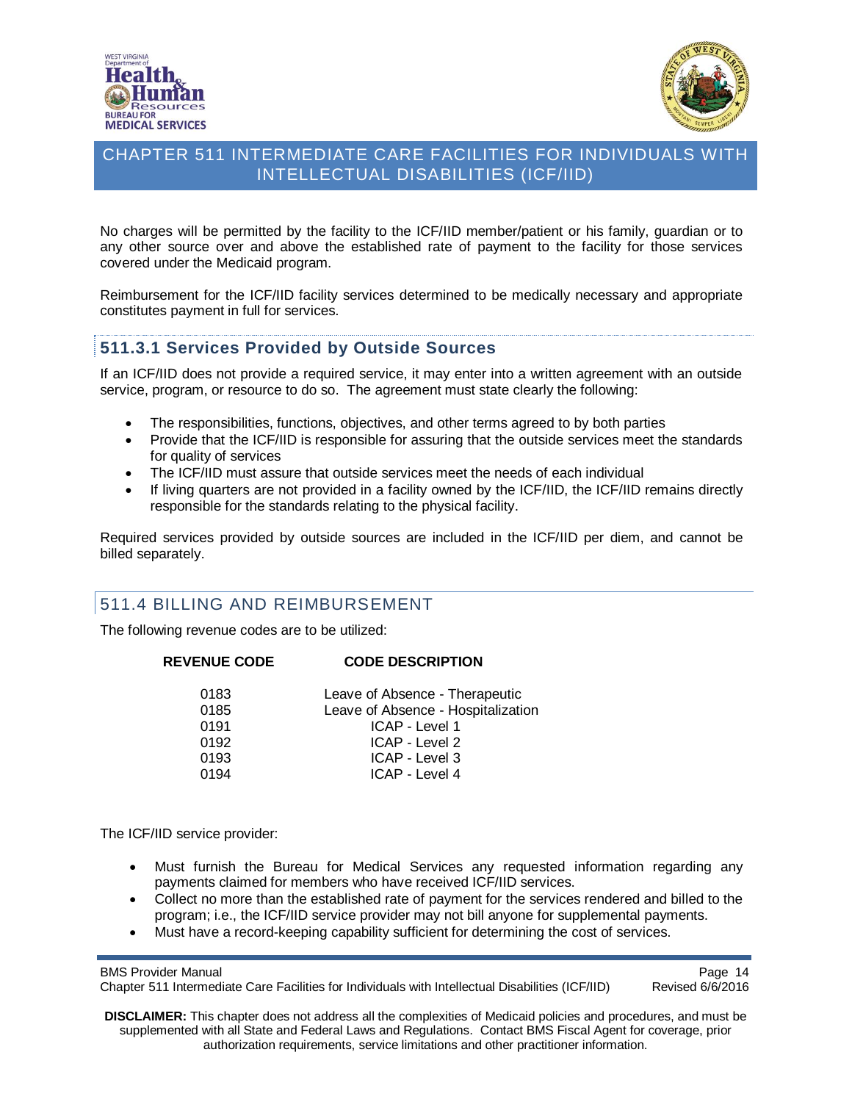



No charges will be permitted by the facility to the ICF/IID member/patient or his family, guardian or to any other source over and above the established rate of payment to the facility for those services covered under the Medicaid program.

Reimbursement for the ICF/IID facility services determined to be medically necessary and appropriate constitutes payment in full for services.

## <span id="page-13-0"></span>**511.3.1 Services Provided by Outside Sources**

If an ICF/IID does not provide a required service, it may enter into a written agreement with an outside service, program, or resource to do so. The agreement must state clearly the following:

- The responsibilities, functions, objectives, and other terms agreed to by both parties
- Provide that the ICF/IID is responsible for assuring that the outside services meet the standards for quality of services
- The ICF/IID must assure that outside services meet the needs of each individual
- If living quarters are not provided in a facility owned by the ICF/IID, the ICF/IID remains directly responsible for the standards relating to the physical facility.

Required services provided by outside sources are included in the ICF/IID per diem, and cannot be billed separately.

#### <span id="page-13-1"></span>511.4 BILLING AND REIMBURSEMENT

The following revenue codes are to be utilized:

#### **REVENUE CODE CODE DESCRIPTION**

| 0183 | Leave of Absence - Therapeutic     |
|------|------------------------------------|
| 0185 | Leave of Absence - Hospitalization |
| 0191 | ICAP - Level 1                     |
| 0192 | ICAP - Level 2                     |
| 0193 | ICAP - Level 3                     |
| 0194 | ICAP - Level 4                     |
|      |                                    |

The ICF/IID service provider:

- Must furnish the Bureau for Medical Services any requested information regarding any payments claimed for members who have received ICF/IID services.
- Collect no more than the established rate of payment for the services rendered and billed to the program; i.e., the ICF/IID service provider may not bill anyone for supplemental payments.
- Must have a record-keeping capability sufficient for determining the cost of services.

BMS Provider Manual<br>Chapter 511 Intermediate Care Facilities for Individuals with Intellectual Disabilities (ICF/IID) Revised 6/6/2016 Chapter 511 Intermediate Care Facilities for Individuals with Intellectual Disabilities (ICF/IID)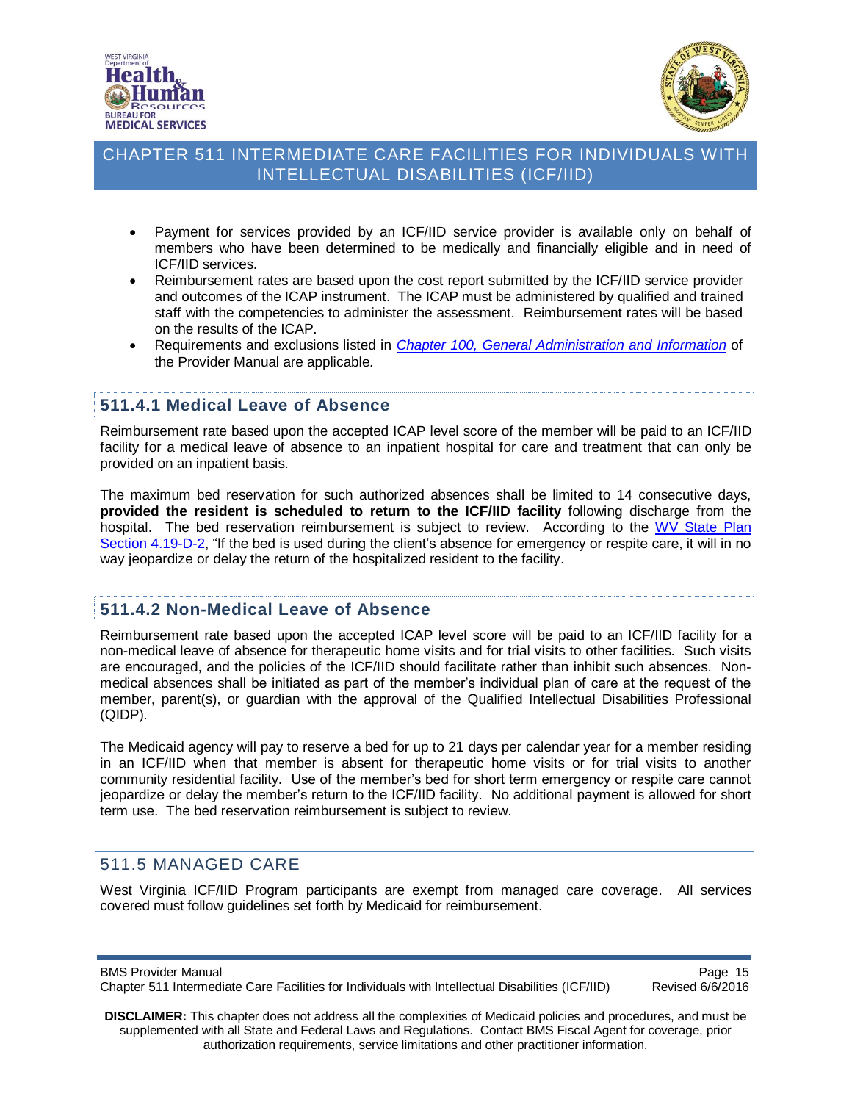



- Payment for services provided by an ICF/IID service provider is available only on behalf of members who have been determined to be medically and financially eligible and in need of ICF/IID services.
- Reimbursement rates are based upon the cost report submitted by the ICF/IID service provider and outcomes of the ICAP instrument. The ICAP must be administered by qualified and trained staff with the competencies to administer the assessment. Reimbursement rates will be based on the results of the ICAP.
- Requirements and exclusions listed in *Chapter 100, [General Administration and Information](http://www.dhhr.wv.gov/bms/Pages/Manuals.aspx)* of the Provider Manual are applicable.

#### <span id="page-14-0"></span>**511.4.1 Medical Leave of Absence**

Reimbursement rate based upon the accepted ICAP level score of the member will be paid to an ICF/IID facility for a medical leave of absence to an inpatient hospital for care and treatment that can only be provided on an inpatient basis.

The maximum bed reservation for such authorized absences shall be limited to 14 consecutive days, **provided the resident is scheduled to return to the ICF/IID facility** following discharge from the hospital. The bed reservation reimbursement is subject to review. According to the WV [State Plan](http://www.dhhr.wv.gov/bms/CMS/SMP/Documents/Searchable/A4/4.19-D-2.pdf) Section [4.19-D-2,](http://www.dhhr.wv.gov/bms/CMS/SMP/Documents/Searchable/A4/4.19-D-2.pdf) "If the bed is used during the client's absence for emergency or respite care, it will in no way jeopardize or delay the return of the hospitalized resident to the facility.

#### <span id="page-14-1"></span>**511.4.2 Non-Medical Leave of Absence**

Reimbursement rate based upon the accepted ICAP level score will be paid to an ICF/IID facility for a non-medical leave of absence for therapeutic home visits and for trial visits to other facilities. Such visits are encouraged, and the policies of the ICF/IID should facilitate rather than inhibit such absences. Nonmedical absences shall be initiated as part of the member's individual plan of care at the request of the member, parent(s), or guardian with the approval of the Qualified Intellectual Disabilities Professional (QIDP).

The Medicaid agency will pay to reserve a bed for up to 21 days per calendar year for a member residing in an ICF/IID when that member is absent for therapeutic home visits or for trial visits to another community residential facility. Use of the member's bed for short term emergency or respite care cannot jeopardize or delay the member's return to the ICF/IID facility. No additional payment is allowed for short term use. The bed reservation reimbursement is subject to review.

## <span id="page-14-2"></span>511.5 MANAGED CARE

West Virginia ICF/IID Program participants are exempt from managed care coverage. All services covered must follow guidelines set forth by Medicaid for reimbursement.

BMS Provider Manual<br>Chapter 511 Intermediate Care Facilities for Individuals with Intellectual Disabilities (ICF/IID) Revised 6/6/2016 Chapter 511 Intermediate Care Facilities for Individuals with Intellectual Disabilities (ICF/IID)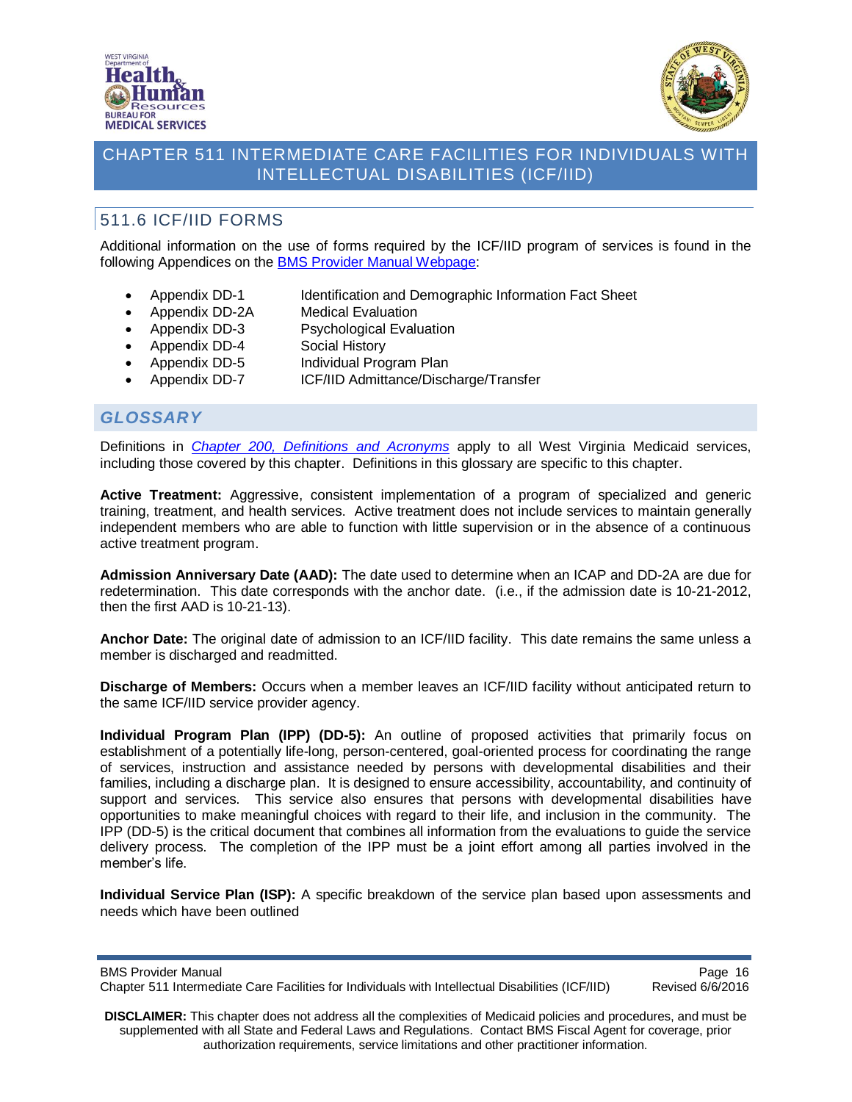



# <span id="page-15-0"></span>511.6 ICF/IID FORMS

Additional information on the use of forms required by the ICF/IID program of services is found in the following Appendices on the [BMS Provider Manual Webpage:](http://www.dhhr.wv.gov/bms/Pages/Manuals.aspx)

- Appendix DD-1 Identification and Demographic Information Fact Sheet
- Appendix DD-2A Medical Evaluation
- Appendix DD-3 Psychological Evaluation
- Appendix DD-4 Social History
- Appendix DD-5 Individual Program Plan
- Appendix DD-7 ICF/IID Admittance/Discharge/Transfer

## <span id="page-15-1"></span>*GLOSSARY*

Definitions in *[Chapter 200, Definitions and Acronyms](http://www.dhhr.wv.gov/bms/Pages/Manuals.aspx)* apply to all West Virginia Medicaid services, including those covered by this chapter. Definitions in this glossary are specific to this chapter.

**Active Treatment:** Aggressive, consistent implementation of a program of specialized and generic training, treatment, and health services. Active treatment does not include services to maintain generally independent members who are able to function with little supervision or in the absence of a continuous active treatment program.

**Admission Anniversary Date (AAD):** The date used to determine when an ICAP and DD-2A are due for redetermination. This date corresponds with the anchor date. (i.e., if the admission date is 10-21-2012, then the first AAD is 10-21-13).

**Anchor Date:** The original date of admission to an ICF/IID facility. This date remains the same unless a member is discharged and readmitted.

**Discharge of Members:** Occurs when a member leaves an ICF/IID facility without anticipated return to the same ICF/IID service provider agency.

**Individual Program Plan (IPP) (DD-5):** An outline of proposed activities that primarily focus on establishment of a potentially life-long, person-centered, goal-oriented process for coordinating the range of services, instruction and assistance needed by persons with developmental disabilities and their families, including a discharge plan. It is designed to ensure accessibility, accountability, and continuity of support and services. This service also ensures that persons with developmental disabilities have opportunities to make meaningful choices with regard to their life, and inclusion in the community. The IPP (DD-5) is the critical document that combines all information from the evaluations to guide the service delivery process. The completion of the IPP must be a joint effort among all parties involved in the member's life.

**Individual Service Plan (ISP):** A specific breakdown of the service plan based upon assessments and needs which have been outlined

BMS Provider Manual<br>Chapter 511 Intermediate Care Facilities for Individuals with Intellectual Disabilities (ICF/IID) Revised 6/6/2016 Chapter 511 Intermediate Care Facilities for Individuals with Intellectual Disabilities (ICF/IID)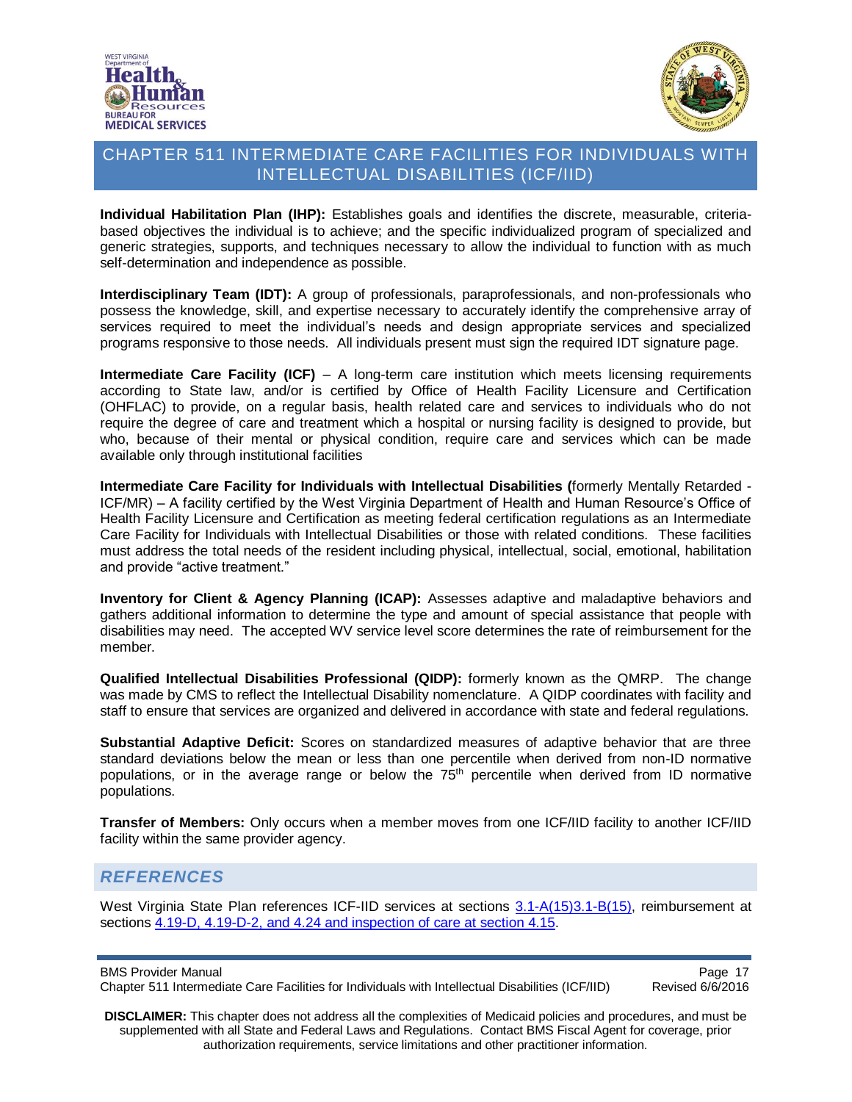



**Individual Habilitation Plan (IHP):** Establishes goals and identifies the discrete, measurable, criteriabased objectives the individual is to achieve; and the specific individualized program of specialized and generic strategies, supports, and techniques necessary to allow the individual to function with as much self-determination and independence as possible.

**Interdisciplinary Team (IDT):** A group of professionals, paraprofessionals, and non-professionals who possess the knowledge, skill, and expertise necessary to accurately identify the comprehensive array of services required to meet the individual's needs and design appropriate services and specialized programs responsive to those needs. All individuals present must sign the required IDT signature page.

**Intermediate Care Facility (ICF)** - A long-term care institution which meets licensing requirements according to State law, and/or is certified by Office of Health Facility Licensure and Certification (OHFLAC) to provide, on a regular basis, health related care and services to individuals who do not require the degree of care and treatment which a hospital or nursing facility is designed to provide, but who, because of their mental or physical condition, require care and services which can be made available only through institutional facilities

**Intermediate Care Facility for Individuals with Intellectual Disabilities (**formerly Mentally Retarded - ICF/MR) – A facility certified by the West Virginia Department of Health and Human Resource's Office of Health Facility Licensure and Certification as meeting federal certification regulations as an Intermediate Care Facility for Individuals with Intellectual Disabilities or those with related conditions. These facilities must address the total needs of the resident including physical, intellectual, social, emotional, habilitation and provide "active treatment."

**Inventory for Client & Agency Planning (ICAP):** Assesses adaptive and maladaptive behaviors and gathers additional information to determine the type and amount of special assistance that people with disabilities may need. The accepted WV service level score determines the rate of reimbursement for the member.

**Qualified Intellectual Disabilities Professional (QIDP):** formerly known as the QMRP. The change was made by CMS to reflect the Intellectual Disability nomenclature. A QIDP coordinates with facility and staff to ensure that services are organized and delivered in accordance with state and federal regulations.

**Substantial Adaptive Deficit:** Scores on standardized measures of adaptive behavior that are three standard deviations below the mean or less than one percentile when derived from non-ID normative populations, or in the average range or below the  $75<sup>th</sup>$  percentile when derived from ID normative populations.

**Transfer of Members:** Only occurs when a member moves from one ICF/IID facility to another ICF/IID facility within the same provider agency.

## *REFERENCES*

West Virginia State Plan references ICF-IID services at sections [3.1-A\(15\)3.1-B\(15\),](http://www.dhhr.wv.gov/bms/CMS/SMP/Documents/Searchable/A3/Attachment%203.1-A%20updated%202014.pdf) reimbursement at sections [4.19-D, 4.19-D-2,](http://www.dhhr.wv.gov/bms/CMS/SMP/Documents/Searchable/A4/4.19-D.pdf) and [4.24](http://www.dhhr.wv.gov/bms/CMS/SMP/Documents/Searchable/S4/4.24.pdf) and inspection of care at section [4.15.](http://www.dhhr.wv.gov/bms/CMS/SMP/Documents/Searchable/S4/4.15.pdf)

BMS Provider Manual<br>Chapter 511 Intermediate Care Facilities for Individuals with Intellectual Disabilities (ICF/IID) Revised 6/6/2016 Chapter 511 Intermediate Care Facilities for Individuals with Intellectual Disabilities (ICF/IID)